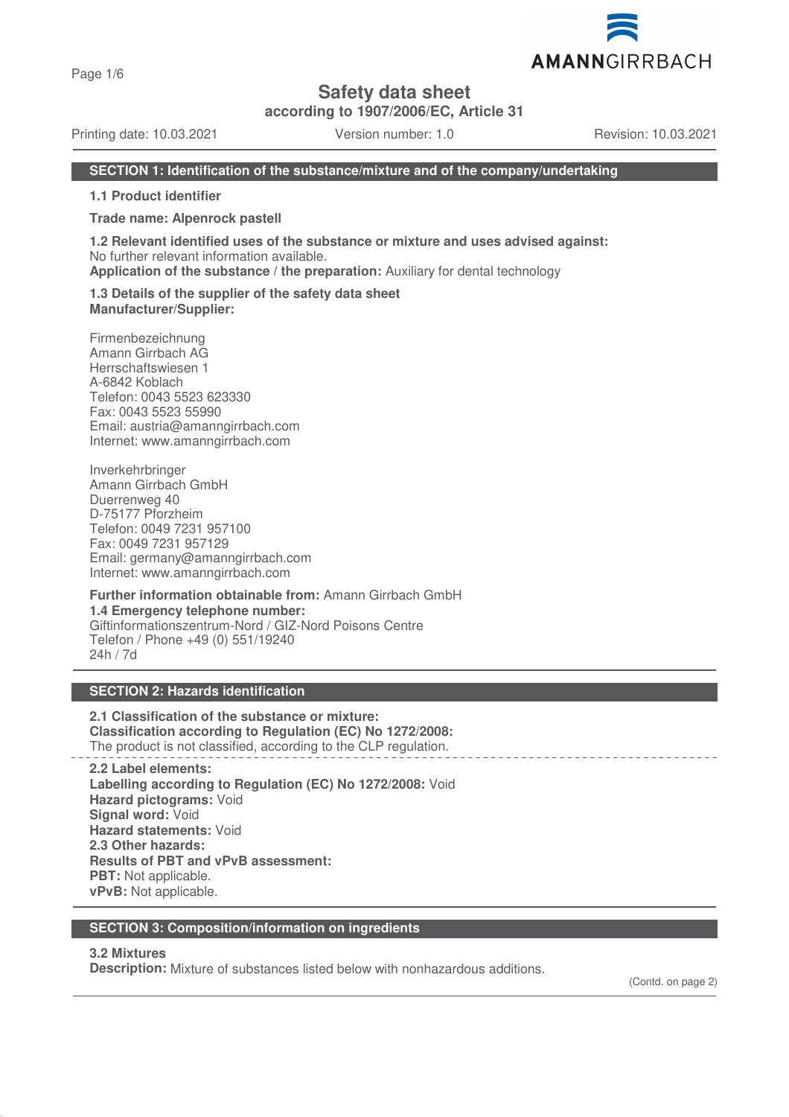Page 1/6

# **Safety data sheet**

**according to 1907/2006/EC, Article 31**

Printing date: 10.03.2021 Version number: 1.0 Revision: 10.03.2021

AMANNGIRRBACH

#### **SECTION 1: Identification of the substance/mixture and of the company/undertaking**

**1.1 Product identifier**

**Trade name: Alpenrock pastell**

**1.2 Relevant identified uses of the substance or mixture and uses advised against:** No further relevant information available.

**Application of the substance / the preparation:** Auxiliary for dental technology

**1.3 Details of the supplier of the safety data sheet Manufacturer/Supplier:**

Firmenbezeichnung Amann Girrbach AG Herrschaftswiesen 1 A-6842 Koblach Telefon: 0043 5523 623330 Fax: 0043 5523 55990 Email: austria@amanngirrbach.com Internet: www.amanngirrbach.com

Inverkehrbringer Amann Girrbach GmbH Duerrenweg 40 D-75177 Pforzheim Telefon: 0049 7231 957100 Fax: 0049 7231 957129 Email: germany@amanngirrbach.com Internet: www.amanngirrbach.com

**Further information obtainable from:** Amann Girrbach GmbH **1.4 Emergency telephone number:** Giftinformationszentrum-Nord / GIZ-Nord Poisons Centre Telefon / Phone +49 (0) 551/19240 24h / 7d

#### **SECTION 2: Hazards identification**

**2.1 Classification of the substance or mixture: Classification according to Regulation (EC) No 1272/2008:** The product is not classified, according to the CLP regulation.

**2.2 Label elements: Labelling according to Regulation (EC) No 1272/2008:** Void **Hazard pictograms:** Void **Signal word:** Void **Hazard statements:** Void **2.3 Other hazards: Results of PBT and vPvB assessment: PBT:** Not applicable. **vPvB:** Not applicable.

#### **SECTION 3: Composition/information on ingredients**

#### **3.2 Mixtures**

**Description:** Mixture of substances listed below with nonhazardous additions.

(Contd. on page 2)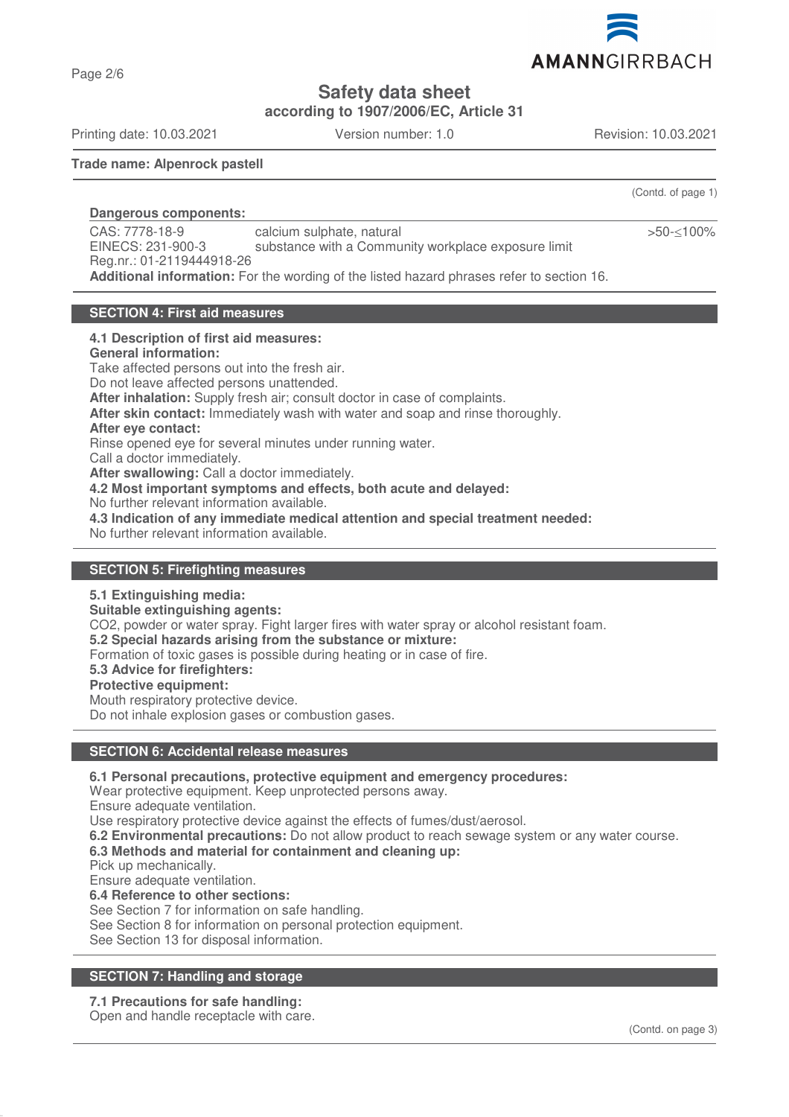

**Safety data sheet**

**according to 1907/2006/EC, Article 31**

Printing date: 10.03.2021 Version number: 1.0 Revision: 10.03.2021

Page 2/6

(Contd. of page 1)

>50-≤100%

#### **Trade name: Alpenrock pastell**

**Dangerous components:** 

CAS: 7778-18-9 EINECS: 231-900-3 Reg.nr.: 01-2119444918-26 calcium sulphate, natural substance with a Community workplace exposure limit **Additional information:** For the wording of the listed hazard phrases refer to section 16.

#### **SECTION 4: First aid measures**

#### **4.1 Description of first aid measures:**

#### **General information:**

Take affected persons out into the fresh air. Do not leave affected persons unattended. **After inhalation:** Supply fresh air; consult doctor in case of complaints. **After skin contact:** Immediately wash with water and soap and rinse thoroughly. **After eye contact:** Rinse opened eye for several minutes under running water. Call a doctor immediately. **After swallowing:** Call a doctor immediately. **4.2 Most important symptoms and effects, both acute and delayed:** No further relevant information available. **4.3 Indication of any immediate medical attention and special treatment needed:** No further relevant information available.

#### **SECTION 5: Firefighting measures**

#### **5.1 Extinguishing media:**

**Suitable extinguishing agents:**

CO2, powder or water spray. Fight larger fires with water spray or alcohol resistant foam.

**5.2 Special hazards arising from the substance or mixture:**

Formation of toxic gases is possible during heating or in case of fire.

**5.3 Advice for firefighters:**

#### **Protective equipment:**

Mouth respiratory protective device. Do not inhale explosion gases or combustion gases.

## **SECTION 6: Accidental release measures**

**6.1 Personal precautions, protective equipment and emergency procedures:**

Wear protective equipment. Keep unprotected persons away.

Ensure adequate ventilation.

Use respiratory protective device against the effects of fumes/dust/aerosol.

**6.2 Environmental precautions:** Do not allow product to reach sewage system or any water course.

## **6.3 Methods and material for containment and cleaning up:**

Pick up mechanically.

Ensure adequate ventilation.

**6.4 Reference to other sections:**

See Section 7 for information on safe handling.

See Section 8 for information on personal protection equipment.

See Section 13 for disposal information.

## **SECTION 7: Handling and storage**

## **7.1 Precautions for safe handling:**

Open and handle receptacle with care.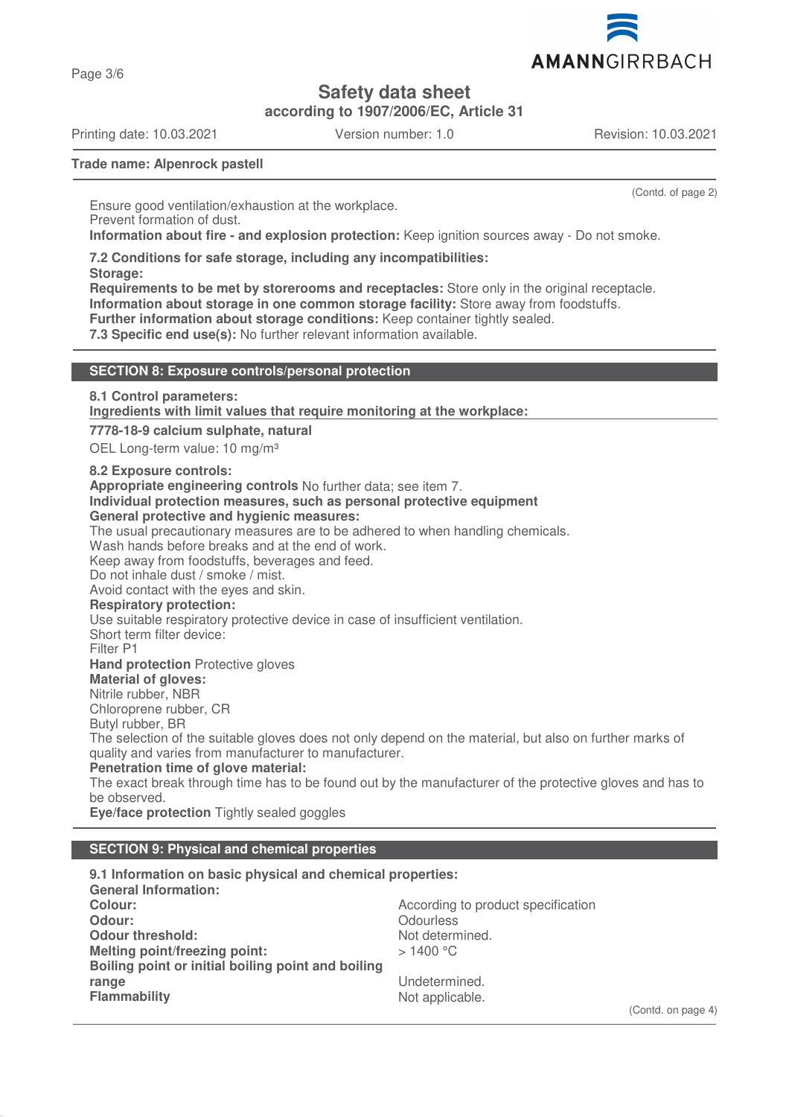

**Safety data sheet**

**according to 1907/2006/EC, Article 31**

Printing date: 10.03.2021 Version number: 1.0 Revision: 10.03.2021

Page 3/6

(Contd. of page 2)

**Trade name: Alpenrock pastell**

Ensure good ventilation/exhaustion at the workplace. Prevent formation of dust. **Information about fire - and explosion protection:** Keep ignition sources away - Do not smoke.

**7.2 Conditions for safe storage, including any incompatibilities:**

**Storage:**

**Requirements to be met by storerooms and receptacles:** Store only in the original receptacle. **Information about storage in one common storage facility:** Store away from foodstuffs. **Further information about storage conditions:** Keep container tightly sealed.

**7.3 Specific end use(s):** No further relevant information available.

#### **SECTION 8: Exposure controls/personal protection**

**8.1 Control parameters:**

**Ingredients with limit values that require monitoring at the workplace:** 

**7778-18-9 calcium sulphate, natural**

OEL Long-term value: 10 mg/m<sup>3</sup>

**8.2 Exposure controls:**

**Appropriate engineering controls** No further data; see item 7.

**Individual protection measures, such as personal protective equipment**

## **General protective and hygienic measures:**

The usual precautionary measures are to be adhered to when handling chemicals.

Wash hands before breaks and at the end of work.

Keep away from foodstuffs, beverages and feed.

Do not inhale dust / smoke / mist.

Avoid contact with the eyes and skin.

**Respiratory protection:**

Use suitable respiratory protective device in case of insufficient ventilation.

Short term filter device:

Filter P1

**Hand protection** Protective gloves

## **Material of gloves:**

Nitrile rubber, NBR

Chloroprene rubber, CR

Butyl rubber, BR

The selection of the suitable gloves does not only depend on the material, but also on further marks of quality and varies from manufacturer to manufacturer.

**Penetration time of glove material:**

The exact break through time has to be found out by the manufacturer of the protective gloves and has to be observed.

**Eye/face protection** Tightly sealed goggles

## **SECTION 9: Physical and chemical properties**

**9.1 Information on basic physical and chemical properties: General Information: Colour:** Colour: **According to product specification Odour:** Odourless<br> **Odour threshold:** Contact Contact Contact Contact Contact Contact Contact Contact Contact Contact Contact Conta<br>
Odour threshold: Contact Contact Contact Contact Contact Contact Contact Contact Contact **Odour threshold:**<br>
Melting point/freezing point:<br>
Melting point/freezing point:<br>
> 1400 °C **Melting point/freezing point: Boiling point or initial boiling point and boiling range** Undetermined.<br> **Flammability** Contract Contract Contract Contract Contract Contract Contract Contract Contract Contract Contra<br>
Not applicable. Not applicable.

(Contd. on page 4)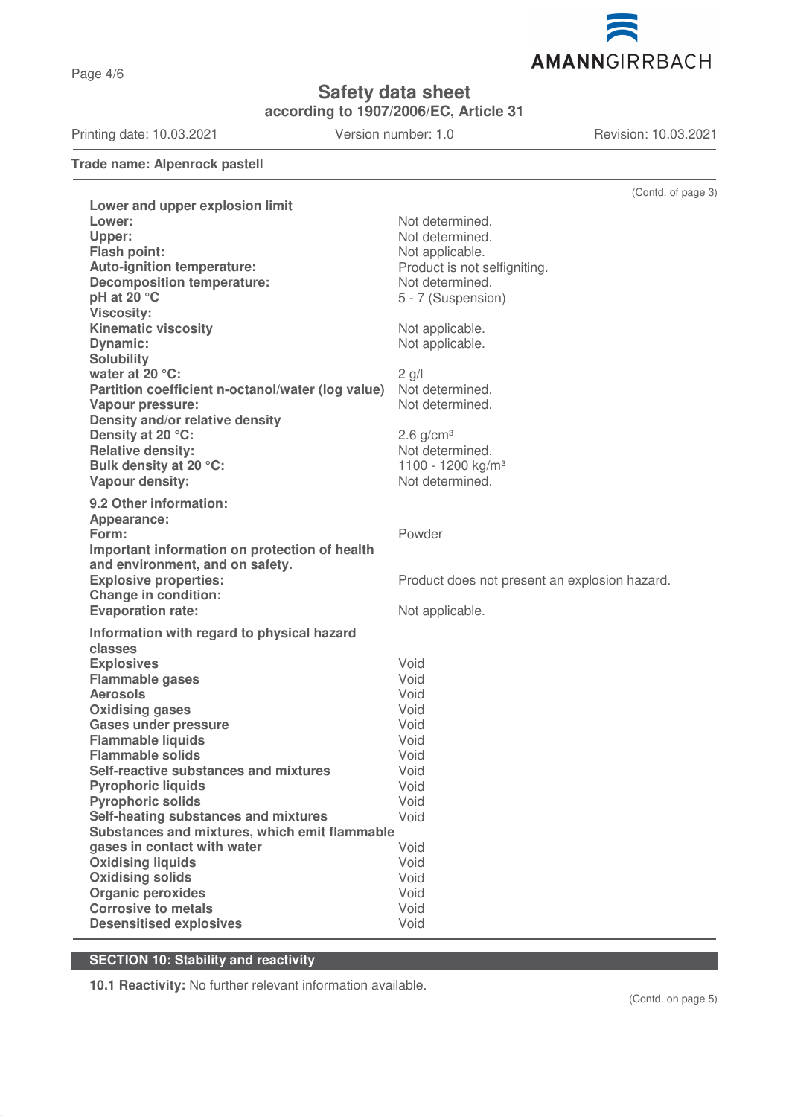Page 4/6

**Safety data sheet**

**according to 1907/2006/EC, Article 31**

Printing date: 10.03.2021 Version number: 1.0 Revision: 10.03.2021

**Trade name: Alpenrock pastell**

|                                                     | (Contd. of page 3)                            |
|-----------------------------------------------------|-----------------------------------------------|
| Lower and upper explosion limit                     |                                               |
| Lower:                                              | Not determined.                               |
| Upper:                                              | Not determined.                               |
| Flash point:                                        | Not applicable.                               |
| <b>Auto-ignition temperature:</b>                   | Product is not selfigniting.                  |
| <b>Decomposition temperature:</b>                   | Not determined.                               |
| pH at 20 °C                                         | 5 - 7 (Suspension)                            |
| <b>Viscosity:</b><br><b>Kinematic viscosity</b>     | Not applicable.                               |
| <b>Dynamic:</b>                                     | Not applicable.                               |
| <b>Solubility</b>                                   |                                               |
| water at 20 °C:                                     | $2$ g/l                                       |
| Partition coefficient n-octanol/water (log value)   | Not determined.                               |
| Vapour pressure:                                    | Not determined.                               |
| Density and/or relative density                     |                                               |
| Density at 20 °C:                                   | $2.6$ g/cm <sup>3</sup>                       |
| <b>Relative density:</b>                            | Not determined.                               |
| Bulk density at 20 °C:                              | 1100 - 1200 kg/m <sup>3</sup>                 |
| Vapour density:                                     | Not determined.                               |
| 9.2 Other information:                              |                                               |
| Appearance:                                         |                                               |
| Form:                                               | Powder                                        |
| Important information on protection of health       |                                               |
| and environment, and on safety.                     |                                               |
| <b>Explosive properties:</b>                        | Product does not present an explosion hazard. |
| <b>Change in condition:</b>                         |                                               |
| <b>Evaporation rate:</b>                            | Not applicable.                               |
| Information with regard to physical hazard          |                                               |
| classes                                             |                                               |
| <b>Explosives</b>                                   | Void                                          |
| <b>Flammable gases</b>                              | Void                                          |
| <b>Aerosols</b>                                     | Void                                          |
| <b>Oxidising gases</b>                              | Void                                          |
| <b>Gases under pressure</b>                         | Void                                          |
| <b>Flammable liquids</b><br><b>Flammable solids</b> | Void<br>Void                                  |
| Self-reactive substances and mixtures               | Void                                          |
| <b>Pyrophoric liquids</b>                           | Void                                          |
| <b>Pyrophoric solids</b>                            | Void                                          |
| Self-heating substances and mixtures                | Void                                          |
| Substances and mixtures, which emit flammable       |                                               |
| gases in contact with water                         | Void                                          |
| <b>Oxidising liquids</b>                            | Void                                          |
| <b>Oxidising solids</b>                             | Void                                          |
| <b>Organic peroxides</b>                            | Void                                          |
| <b>Corrosive to metals</b>                          | Void                                          |
| <b>Desensitised explosives</b>                      | Void                                          |

# **SECTION 10: Stability and reactivity**

**10.1 Reactivity:** No further relevant information available.

(Contd. on page 5)

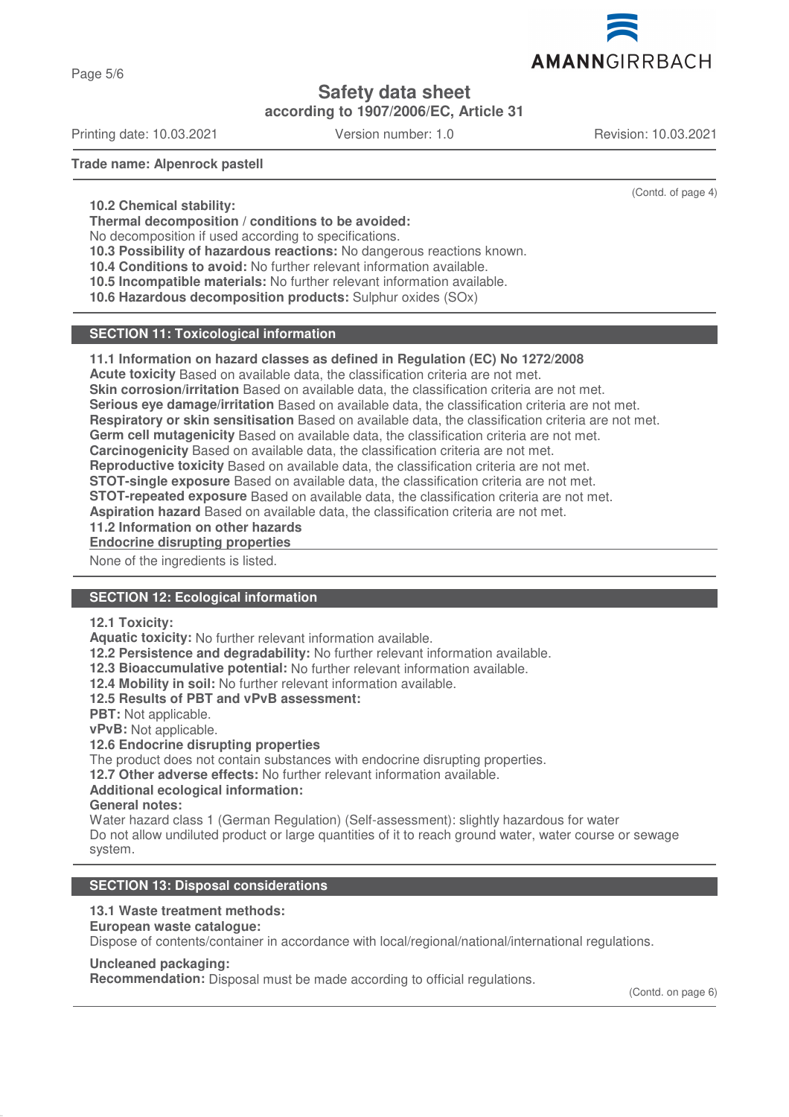

Page 5/6

# **Safety data sheet**

**according to 1907/2006/EC, Article 31**

Printing date: 10.03.2021 Version number: 1.0 Revision: 10.03.2021

(Contd. of page 4)

**Trade name: Alpenrock pastell**

**10.2 Chemical stability:**

**Thermal decomposition / conditions to be avoided:**

No decomposition if used according to specifications.

**10.3 Possibility of hazardous reactions:** No dangerous reactions known.

**10.4 Conditions to avoid:** No further relevant information available.

**10.5 Incompatible materials:** No further relevant information available.

**10.6 Hazardous decomposition products:** Sulphur oxides (SOx)

## **SECTION 11: Toxicological information**

## **11.1 Information on hazard classes as defined in Regulation (EC) No 1272/2008**

**Acute toxicity** Based on available data, the classification criteria are not met.

**Skin corrosion/irritation** Based on available data, the classification criteria are not met.

**Serious eye damage/irritation** Based on available data, the classification criteria are not met.

**Respiratory or skin sensitisation** Based on available data, the classification criteria are not met.

**Germ cell mutagenicity** Based on available data, the classification criteria are not met.

**Carcinogenicity** Based on available data, the classification criteria are not met.

**Reproductive toxicity** Based on available data, the classification criteria are not met.

**STOT-single exposure** Based on available data, the classification criteria are not met.

**STOT-repeated exposure** Based on available data, the classification criteria are not met.

**Aspiration hazard** Based on available data, the classification criteria are not met.

**11.2 Information on other hazards**

**Endocrine disrupting properties** 

None of the ingredients is listed.

## **SECTION 12: Ecological information**

#### **12.1 Toxicity:**

**Aquatic toxicity:** No further relevant information available.

**12.2 Persistence and degradability:** No further relevant information available.

**12.3 Bioaccumulative potential:** No further relevant information available.

**12.4 Mobility in soil:** No further relevant information available.

**12.5 Results of PBT and vPvB assessment:**

**PBT:** Not applicable.

**vPvB:** Not applicable.

## **12.6 Endocrine disrupting properties**

The product does not contain substances with endocrine disrupting properties.

**12.7 Other adverse effects:** No further relevant information available.

## **Additional ecological information:**

**General notes:**

Water hazard class 1 (German Regulation) (Self-assessment): slightly hazardous for water Do not allow undiluted product or large quantities of it to reach ground water, water course or sewage system.

## **SECTION 13: Disposal considerations**

## **13.1 Waste treatment methods:**

**European waste catalogue:**

Dispose of contents/container in accordance with local/regional/national/international regulations.

## **Uncleaned packaging:**

**Recommendation:** Disposal must be made according to official regulations.